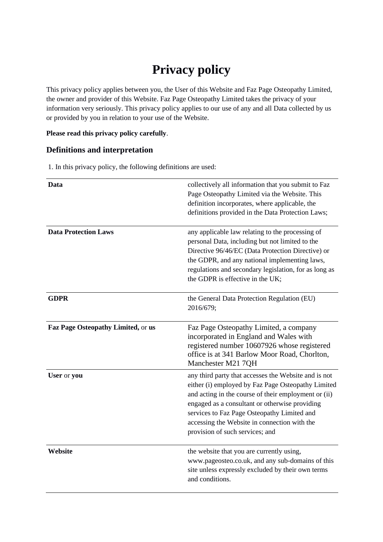# **Privacy policy**

This privacy policy applies between you, the User of this Website and Faz Page Osteopathy Limited, the owner and provider of this Website. Faz Page Osteopathy Limited takes the privacy of your information very seriously. This privacy policy applies to our use of any and all Data collected by us or provided by you in relation to your use of the Website.

## **Please read this privacy policy carefully**.

# **Definitions and interpretation**

1. In this privacy policy, the following definitions are used:

| Data                               | collectively all information that you submit to Faz<br>Page Osteopathy Limited via the Website. This<br>definition incorporates, where applicable, the<br>definitions provided in the Data Protection Laws;                                                                                                                                            |
|------------------------------------|--------------------------------------------------------------------------------------------------------------------------------------------------------------------------------------------------------------------------------------------------------------------------------------------------------------------------------------------------------|
| <b>Data Protection Laws</b>        | any applicable law relating to the processing of<br>personal Data, including but not limited to the<br>Directive 96/46/EC (Data Protection Directive) or<br>the GDPR, and any national implementing laws,<br>regulations and secondary legislation, for as long as<br>the GDPR is effective in the UK;                                                 |
| <b>GDPR</b>                        | the General Data Protection Regulation (EU)<br>2016/679;                                                                                                                                                                                                                                                                                               |
| Faz Page Osteopathy Limited, or us | Faz Page Osteopathy Limited, a company<br>incorporated in England and Wales with<br>registered number 10607926 whose registered<br>office is at 341 Barlow Moor Road, Chorlton,<br>Manchester M21 7QH                                                                                                                                                  |
| User or you                        | any third party that accesses the Website and is not<br>either (i) employed by Faz Page Osteopathy Limited<br>and acting in the course of their employment or (ii)<br>engaged as a consultant or otherwise providing<br>services to Faz Page Osteopathy Limited and<br>accessing the Website in connection with the<br>provision of such services; and |
| Website                            | the website that you are currently using,<br>www.pageosteo.co.uk, and any sub-domains of this<br>site unless expressly excluded by their own terms<br>and conditions.                                                                                                                                                                                  |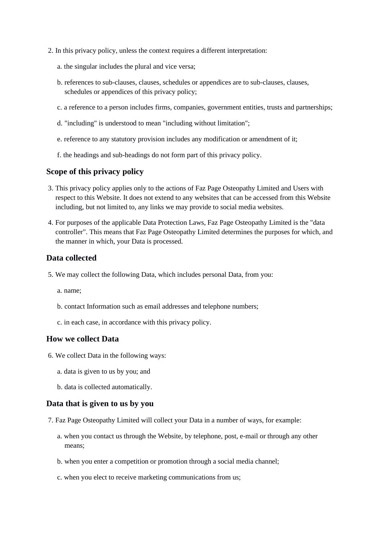- 2. In this privacy policy, unless the context requires a different interpretation:
	- a. the singular includes the plural and vice versa;
	- b. references to sub-clauses, clauses, schedules or appendices are to sub-clauses, clauses, schedules or appendices of this privacy policy;
	- c. a reference to a person includes firms, companies, government entities, trusts and partnerships;
	- d. "including" is understood to mean "including without limitation";
	- e. reference to any statutory provision includes any modification or amendment of it;
	- f. the headings and sub-headings do not form part of this privacy policy.

## **Scope of this privacy policy**

- 3. This privacy policy applies only to the actions of Faz Page Osteopathy Limited and Users with respect to this Website. It does not extend to any websites that can be accessed from this Website including, but not limited to, any links we may provide to social media websites.
- 4. For purposes of the applicable Data Protection Laws, Faz Page Osteopathy Limited is the "data controller". This means that Faz Page Osteopathy Limited determines the purposes for which, and the manner in which, your Data is processed.

## **Data collected**

- 5. We may collect the following Data, which includes personal Data, from you:
	- a. name;
	- b. contact Information such as email addresses and telephone numbers;
	- c. in each case, in accordance with this privacy policy.

## **How we collect Data**

- 6. We collect Data in the following ways:
	- a. data is given to us by you; and
	- b. data is collected automatically.

## **Data that is given to us by you**

- 7. Faz Page Osteopathy Limited will collect your Data in a number of ways, for example:
	- a. when you contact us through the Website, by telephone, post, e-mail or through any other means;
	- b. when you enter a competition or promotion through a social media channel;
	- c. when you elect to receive marketing communications from us;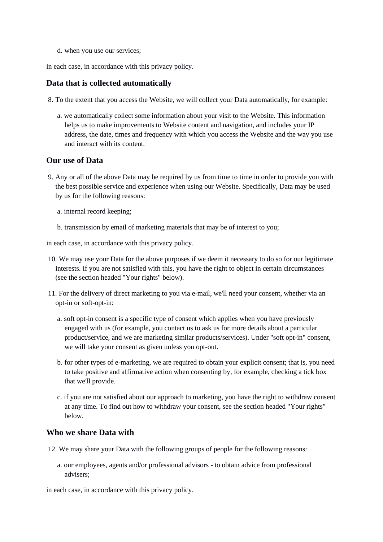d. when you use our services;

in each case, in accordance with this privacy policy.

# **Data that is collected automatically**

- 8. To the extent that you access the Website, we will collect your Data automatically, for example:
	- a. we automatically collect some information about your visit to the Website. This information helps us to make improvements to Website content and navigation, and includes your IP address, the date, times and frequency with which you access the Website and the way you use and interact with its content.

## **Our use of Data**

- 9. Any or all of the above Data may be required by us from time to time in order to provide you with the best possible service and experience when using our Website. Specifically, Data may be used by us for the following reasons:
	- a. internal record keeping;
	- b. transmission by email of marketing materials that may be of interest to you;

in each case, in accordance with this privacy policy.

- 10. We may use your Data for the above purposes if we deem it necessary to do so for our legitimate interests. If you are not satisfied with this, you have the right to object in certain circumstances (see the section headed "Your rights" below).
- 11. For the delivery of direct marketing to you via e-mail, we'll need your consent, whether via an opt-in or soft-opt-in:
	- a. soft opt-in consent is a specific type of consent which applies when you have previously engaged with us (for example, you contact us to ask us for more details about a particular product/service, and we are marketing similar products/services). Under "soft opt-in" consent, we will take your consent as given unless you opt-out.
	- b. for other types of e-marketing, we are required to obtain your explicit consent; that is, you need to take positive and affirmative action when consenting by, for example, checking a tick box that we'll provide.
	- c. if you are not satisfied about our approach to marketing, you have the right to withdraw consent at any time. To find out how to withdraw your consent, see the section headed "Your rights" below.

#### **Who we share Data with**

- 12. We may share your Data with the following groups of people for the following reasons:
	- a. our employees, agents and/or professional advisors to obtain advice from professional advisers;

in each case, in accordance with this privacy policy.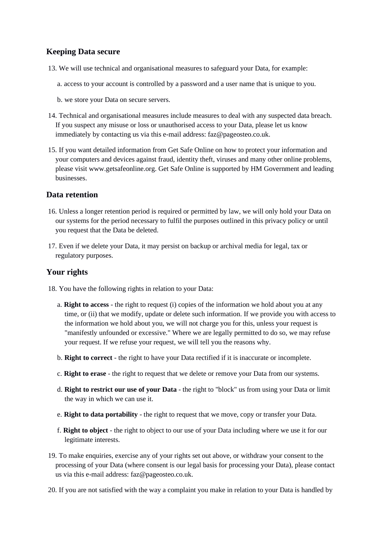# **Keeping Data secure**

- 13. We will use technical and organisational measures to safeguard your Data, for example:
	- a. access to your account is controlled by a password and a user name that is unique to you.
	- b. we store your Data on secure servers.
- 14. Technical and organisational measures include measures to deal with any suspected data breach. If you suspect any misuse or loss or unauthorised access to your Data, please let us know immediately by contacting us via this e-mail address: faz@pageosteo.co.uk.
- 15. If you want detailed information from Get Safe Online on how to protect your information and your computers and devices against fraud, identity theft, viruses and many other online problems, please visit www.getsafeonline.org. Get Safe Online is supported by HM Government and leading businesses.

# **Data retention**

- 16. Unless a longer retention period is required or permitted by law, we will only hold your Data on our systems for the period necessary to fulfil the purposes outlined in this privacy policy or until you request that the Data be deleted.
- 17. Even if we delete your Data, it may persist on backup or archival media for legal, tax or regulatory purposes.

# **Your rights**

- 18. You have the following rights in relation to your Data:
	- a. **Right to access** the right to request (i) copies of the information we hold about you at any time, or (ii) that we modify, update or delete such information. If we provide you with access to the information we hold about you, we will not charge you for this, unless your request is "manifestly unfounded or excessive." Where we are legally permitted to do so, we may refuse your request. If we refuse your request, we will tell you the reasons why.
	- b. **Right to correct** the right to have your Data rectified if it is inaccurate or incomplete.
	- c. **Right to erase** the right to request that we delete or remove your Data from our systems.
	- d. **Right to restrict our use of your Data** the right to "block" us from using your Data or limit the way in which we can use it.
	- e. **Right to data portability** the right to request that we move, copy or transfer your Data.
	- f. **Right to object** the right to object to our use of your Data including where we use it for our legitimate interests.
- 19. To make enquiries, exercise any of your rights set out above, or withdraw your consent to the processing of your Data (where consent is our legal basis for processing your Data), please contact us via this e-mail address: faz@pageosteo.co.uk.
- 20. If you are not satisfied with the way a complaint you make in relation to your Data is handled by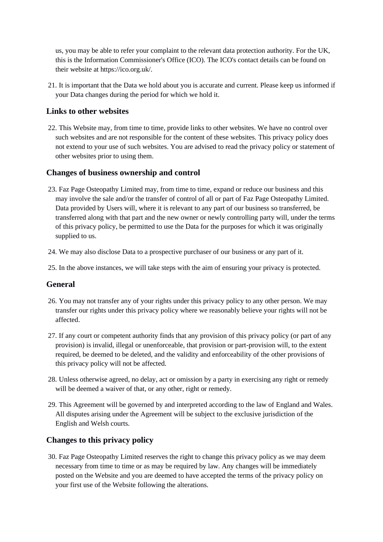us, you may be able to refer your complaint to the relevant data protection authority. For the UK, this is the Information Commissioner's Office (ICO). The ICO's contact details can be found on their website at https://ico.org.uk/.

21. It is important that the Data we hold about you is accurate and current. Please keep us informed if your Data changes during the period for which we hold it.

# **Links to other websites**

22. This Website may, from time to time, provide links to other websites. We have no control over such websites and are not responsible for the content of these websites. This privacy policy does not extend to your use of such websites. You are advised to read the privacy policy or statement of other websites prior to using them.

# **Changes of business ownership and control**

- 23. Faz Page Osteopathy Limited may, from time to time, expand or reduce our business and this may involve the sale and/or the transfer of control of all or part of Faz Page Osteopathy Limited. Data provided by Users will, where it is relevant to any part of our business so transferred, be transferred along with that part and the new owner or newly controlling party will, under the terms of this privacy policy, be permitted to use the Data for the purposes for which it was originally supplied to us.
- 24. We may also disclose Data to a prospective purchaser of our business or any part of it.
- 25. In the above instances, we will take steps with the aim of ensuring your privacy is protected.

## **General**

- 26. You may not transfer any of your rights under this privacy policy to any other person. We may transfer our rights under this privacy policy where we reasonably believe your rights will not be affected.
- 27. If any court or competent authority finds that any provision of this privacy policy (or part of any provision) is invalid, illegal or unenforceable, that provision or part-provision will, to the extent required, be deemed to be deleted, and the validity and enforceability of the other provisions of this privacy policy will not be affected.
- 28. Unless otherwise agreed, no delay, act or omission by a party in exercising any right or remedy will be deemed a waiver of that, or any other, right or remedy.
- 29. This Agreement will be governed by and interpreted according to the law of England and Wales. All disputes arising under the Agreement will be subject to the exclusive jurisdiction of the English and Welsh courts.

# **Changes to this privacy policy**

30. Faz Page Osteopathy Limited reserves the right to change this privacy policy as we may deem necessary from time to time or as may be required by law. Any changes will be immediately posted on the Website and you are deemed to have accepted the terms of the privacy policy on your first use of the Website following the alterations.